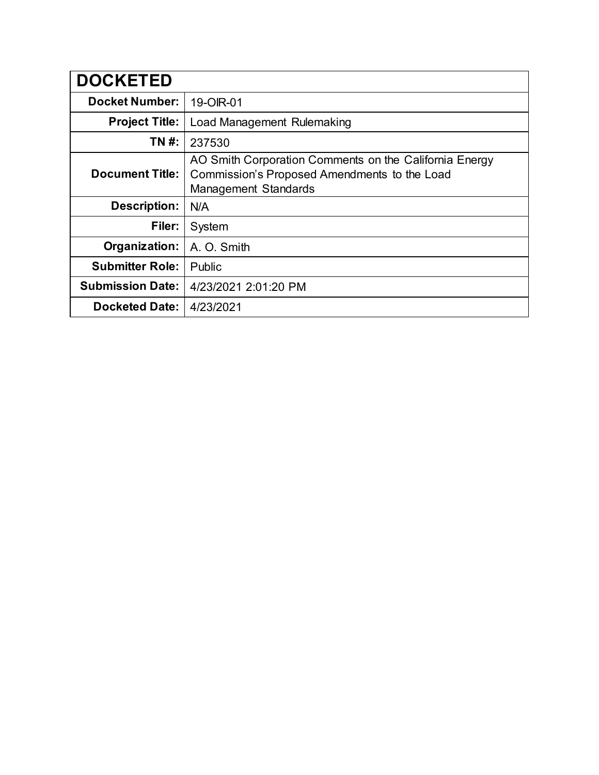| <b>DOCKETED</b>         |                                                                                                                                       |
|-------------------------|---------------------------------------------------------------------------------------------------------------------------------------|
| <b>Docket Number:</b>   | 19-OIR-01                                                                                                                             |
| <b>Project Title:</b>   | Load Management Rulemaking                                                                                                            |
| TN #:                   | 237530                                                                                                                                |
| <b>Document Title:</b>  | AO Smith Corporation Comments on the California Energy<br>Commission's Proposed Amendments to the Load<br><b>Management Standards</b> |
| <b>Description:</b>     | N/A                                                                                                                                   |
| Filer:                  | System                                                                                                                                |
| Organization:           | A. O. Smith                                                                                                                           |
| <b>Submitter Role:</b>  | Public                                                                                                                                |
| <b>Submission Date:</b> | 4/23/2021 2:01:20 PM                                                                                                                  |
| <b>Docketed Date:</b>   | 4/23/2021                                                                                                                             |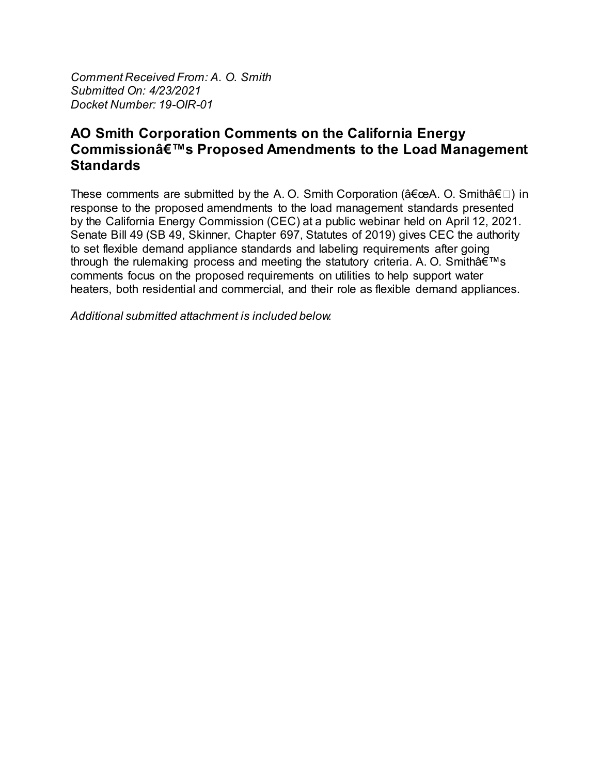Comment Received From: A. O. Smith Submitted On: 4/23/2021 Docket Number: 19-OIR-01

## AO Smith Corporation Comments on the California Energy Commission's Proposed Amendments to the Load Management **Standards**

These comments are submitted by the A.O. Smith Corporation ("A.O. Smith―) in response to the proposed amendments to the load management standards presented by the California Energy Commission (CEC) at a public webinar held on April 12, 2021. Senate Bill 49 (SB 49, Skinner, Chapter 697, Statutes of 2019) gives CEC the authority to set flexible demand appliance standards and labeling requirements after going through the rulemaking process and meeting the statutory criteria. A. O. Smith's comments focus on the proposed requirements on utilities to help support water heaters, both residential and commercial, and their role as flexible demand appliances.

Additional submitted attachment is included below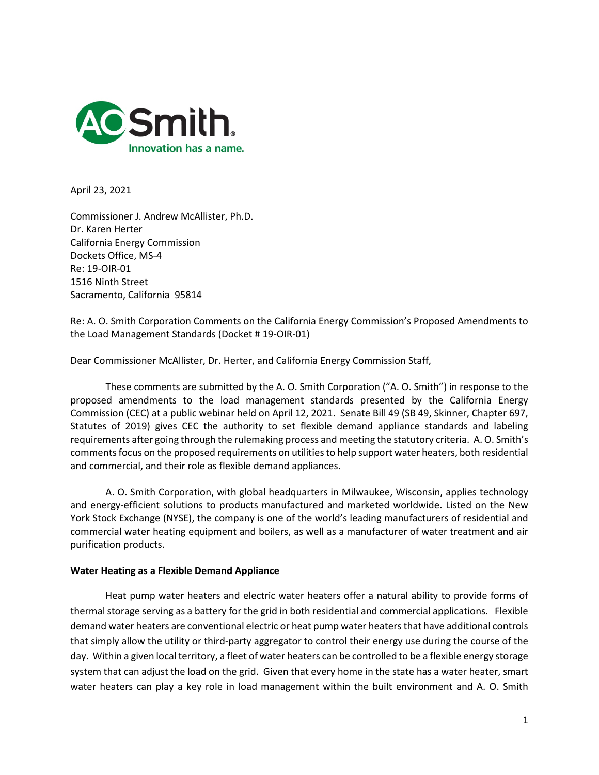

April 23, 2021

Commissioner J. Andrew McAllister, Ph.D. Dr. Karen Herter California Energy Commission Dockets Office, MS-4 Re: 19-OIR-01 1516 Ninth Street Sacramento, California 95814

Re: A. O. Smith Corporation Comments on the California Energy Commission's Proposed Amendments to the Load Management Standards (Docket # 19-OIR-01)

Dear Commissioner McAllister, Dr. Herter, and California Energy Commission Staff,

These comments are submitted by the A. O. Smith Corporation ("A. O. Smith") in response to the proposed amendments to the load management standards presented by the California Energy Commission (CEC) at a public webinar held on April 12, 2021. Senate Bill 49 (SB 49, Skinner, Chapter 697, Statutes of 2019) gives CEC the authority to set flexible demand appliance standards and labeling requirements after going through the rulemaking process and meeting the statutory criteria. A. O. Smith's comments focus on the proposed requirements on utilities to help support water heaters, both residential and commercial, and their role as flexible demand appliances.

A. O. Smith Corporation, with global headquarters in Milwaukee, Wisconsin, applies technology and energy-efficient solutions to products manufactured and marketed worldwide. Listed on the New York Stock Exchange (NYSE), the company is one of the world's leading manufacturers of residential and commercial water heating equipment and boilers, as well as a manufacturer of water treatment and air purification products.

## **Water Heating as a Flexible Demand Appliance**

Heat pump water heaters and electric water heaters offer a natural ability to provide forms of thermal storage serving as a battery for the grid in both residential and commercial applications. Flexible demand water heaters are conventional electric or heat pump water heaters that have additional controls that simply allow the utility or third-party aggregator to control their energy use during the course of the day. Within a given local territory, a fleet of water heaters can be controlled to be a flexible energy storage system that can adjust the load on the grid. Given that every home in the state has a water heater, smart water heaters can play a key role in load management within the built environment and A. O. Smith